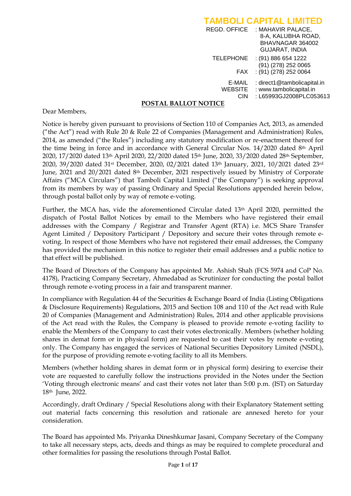|                                 | <b>TAMBOLI CAPITAL LIMITED</b>                                                             |
|---------------------------------|--------------------------------------------------------------------------------------------|
|                                 | REGD. OFFICE : MAHAVIR PALACE,<br>8-A, KALUBHA ROAD,<br>BHAVNAGAR 364002<br>GUJARAT, INDIA |
| <b>TELEPHONE</b>                | $: (91)$ 886 654 1222<br>$(91)$ $(278)$ 252 0065                                           |
| FAX                             | $(91)(278)$ 252 0064                                                                       |
| E-MAIL<br><b>WEBSITE</b><br>CIN | : direct1@tambolicapital.in<br>: www.tambolicapital.in<br>: L65993GJ2008PLC053613          |

#### **POSTAL BALLOT NOTICE**

Dear Members,

Notice is hereby given pursuant to provisions of Section 110 of Companies Act, 2013, as amended ("the Act") read with Rule 20 & Rule 22 of Companies (Management and Administration) Rules, 2014, as amended ("the Rules") including any statutory modification or re-enactment thereof for the time being in force and in accordance with General Circular Nos. 14/2020 dated 8th April 2020, 17/2020 dated 13<sup>th</sup> April 2020, 22/2020 dated 15<sup>th</sup> June, 2020, 33/2020 dated 28<sup>th</sup> September, 2020, 39/2020 dated 31st December, 2020, 02/2021 dated 13th January, 2021, 10/2021 dated 23rd June, 2021 and 20/2021 dated 8th December, 2021 respectively issued by Ministry of Corporate Affairs ("MCA Circulars") that Tamboli Capital Limited ("the Company") is seeking approval from its members by way of passing Ordinary and Special Resolutions appended herein below, through postal ballot only by way of remote e-voting.

Further, the MCA has, vide the aforementioned Circular dated 13th April 2020, permitted the dispatch of Postal Ballot Notices by email to the Members who have registered their email addresses with the Company / Registrar and Transfer Agent (RTA) i.e. MCS Share Transfer Agent Limited / Depository Participant / Depository and secure their votes through remote evoting. In respect of those Members who have not registered their email addresses, the Company has provided the mechanism in this notice to register their email addresses and a public notice to that effect will be published.

The Board of Directors of the Company has appointed Mr. Ashish Shah (FCS 5974 and CoP No. 4178), Practicing Company Secretary, Ahmedabad as Scrutinizer for conducting the postal ballot through remote e-voting process in a fair and transparent manner.

In compliance with Regulation 44 of the Securities & Exchange Board of India (Listing Obligations & Disclosure Requirements) Regulations, 2015 and Section 108 and 110 of the Act read with Rule 20 of Companies (Management and Administration) Rules, 2014 and other applicable provisions of the Act read with the Rules, the Company is pleased to provide remote e-voting facility to enable the Members of the Company to cast their votes electronically. Members (whether holding shares in demat form or in physical form) are requested to cast their votes by remote e-voting only. The Company has engaged the services of National Securities Depository Limited (NSDL), for the purpose of providing remote e-voting facility to all its Members.

Members (whether holding shares in demat form or in physical form) desiring to exercise their vote are requested to carefully follow the instructions provided in the Notes under the Section "Voting through electronic means" and cast their votes not later than 5:00 p.m. (IST) on Saturday 18th June, 2022.

Accordingly, draft Ordinary / Special Resolutions along with their Explanatory Statement setting out material facts concerning this resolution and rationale are annexed hereto for your consideration.

The Board has appointed Ms. Priyanka Dineshkumar Jasani, Company Secretary of the Company to take all necessary steps, acts, deeds and things as may be required to complete procedural and other formalities for passing the resolutions through Postal Ballot.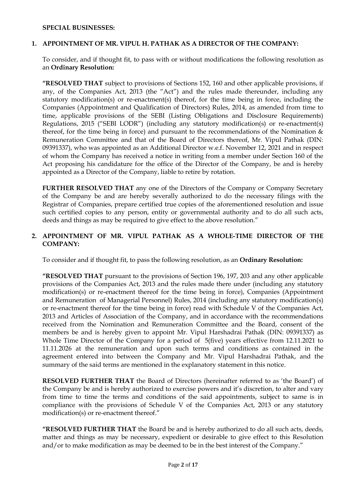#### **SPECIAL BUSINESSES:**

#### **1. APPOINTMENT OF MR. VIPUL H. PATHAK AS A DIRECTOR OF THE COMPANY:**

To consider, and if thought fit, to pass with or without modifications the following resolution as an **Ordinary Resolution:**

**"RESOLVED THAT** subject to provisions of Sections 152, 160 and other applicable provisions, if any, of the Companies Act, 2013 (the "Act") and the rules made thereunder, including any statutory modification(s) or re-enactment(s) thereof, for the time being in force, including the Companies (Appointment and Qualification of Directors) Rules, 2014, as amended from time to time, applicable provisions of the SEBI (Listing Obligations and Disclosure Requirements) Regulations, 2015 ("SEBI LODR") (including any statutory modification(s) or re-enactment(s) thereof, for the time being in force) and pursuant to the recommendations of the Nomination & Remuneration Committee and that of the Board of Directors thereof, Mr. Vipul Pathak (DIN: 09391337), who was appointed as an Additional Director w.e.f. November 12, 2021 and in respect of whom the Company has received a notice in writing from a member under Section 160 of the Act proposing his candidature for the office of the Director of the Company, be and is hereby appointed as a Director of the Company, liable to retire by rotation.

**FURTHER RESOLVED THAT** any one of the Directors of the Company or Company Secretary of the Company be and are hereby severally authorized to do the necessary filings with the Registrar of Companies, prepare certified true copies of the aforementioned resolution and issue such certified copies to any person, entity or governmental authority and to do all such acts, deeds and things as may be required to give effect to the above resolution."

### **2. APPOINTMENT OF MR. VIPUL PATHAK AS A WHOLE-TIME DIRECTOR OF THE COMPANY:**

To consider and if thought fit, to pass the following resolution, as an **Ordinary Resolution:**

**"RESOLVED THAT** pursuant to the provisions of Section 196, 197, 203 and any other applicable provisions of the Companies Act, 2013 and the rules made there under (including any statutory modification(s) or re-enactment thereof for the time being in force), Companies (Appointment and Remuneration of Managerial Personnel) Rules, 2014 (including any statutory modification(s) or re-enactment thereof for the time being in force) read with Schedule V of the Companies Act, 2013 and Articles of Association of the Company, and in accordance with the recommendations received from the Nomination and Remuneration Committee and the Board, consent of the members be and is hereby given to appoint Mr. Vipul Harshadrai Pathak (DIN: 09391337) as Whole Time Director of the Company for a period of 5(five) years effective from 12.11.2021 to 11.11.2026 at the remuneration and upon such terms and conditions as contained in the agreement entered into between the Company and Mr. Vipul Harshadrai Pathak, and the summary of the said terms are mentioned in the explanatory statement in this notice.

**RESOLVED FURTHER THAT** the Board of Directors (hereinafter referred to as "the Board") of the Company be and is hereby authorized to exercise powers and it's discretion, to alter and vary from time to time the terms and conditions of the said appointments, subject to same is in compliance with the provisions of Schedule V of the Companies Act, 2013 or any statutory modification(s) or re-enactment thereof."

**"RESOLVED FURTHER THAT** the Board be and is hereby authorized to do all such acts, deeds, matter and things as may be necessary, expedient or desirable to give effect to this Resolution and/or to make modification as may be deemed to be in the best interest of the Company."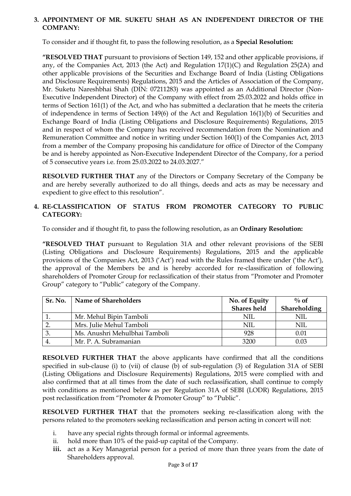### **3. APPOINTMENT OF MR. SUKETU SHAH AS AN INDEPENDENT DIRECTOR OF THE COMPANY:**

To consider and if thought fit, to pass the following resolution, as a **Special Resolution:**

**"RESOLVED THAT** pursuant to provisions of Section 149, 152 and other applicable provisions, if any, of the Companies Act, 2013 (the Act) and Regulation 17(1)(C) and Regulation 25(2A) and other applicable provisions of the Securities and Exchange Board of India (Listing Obligations and Disclosure Requirements) Regulations, 2015 and the Articles of Association of the Company, Mr. Suketu Nareshbhai Shah (DIN: 07211283) was appointed as an Additional Director (Non-Executive Independent Director) of the Company with effect from 25.03.2022 and holds office in terms of Section 161(1) of the Act, and who has submitted a declaration that he meets the criteria of independence in terms of Section 149(6) of the Act and Regulation 16(1)(b) of Securities and Exchange Board of India (Listing Obligations and Disclosure Requirements) Regulations, 2015 and in respect of whom the Company has received recommendation from the Nomination and Remuneration Committee and notice in writing under Section 160(1) of the Companies Act, 2013 from a member of the Company proposing his candidature for office of Director of the Company be and is hereby appointed as Non-Executive Independent Director of the Company, for a period of 5 consecutive years i.e. from 25.03.2022 to 24.03.2027."

**RESOLVED FURTHER THAT** any of the Directors or Company Secretary of the Company be and are hereby severally authorized to do all things, deeds and acts as may be necessary and expedient to give effect to this resolution".

### **4. RE-CLASSIFICATION OF STATUS FROM PROMOTER CATEGORY TO PUBLIC CATEGORY:**

To consider and if thought fit, to pass the following resolution, as an **Ordinary Resolution:**

**"RESOLVED THAT** pursuant to Regulation 31A and other relevant provisions of the SEBI (Listing Obligations and Disclosure Requirements) Regulations, 2015 and the applicable provisions of the Companies Act, 2013 ('Act') read with the Rules framed there under ('the Act'), the approval of the Members be and is hereby accorded for re-classification of following shareholders of Promoter Group for reclassification of their status from "Promoter and Promoter Group" category to "Public" category of the Company.

| Sr. No. | <b>Name of Shareholders</b>   | No. of Equity      | $\%$ of      |
|---------|-------------------------------|--------------------|--------------|
|         |                               | <b>Shares</b> held | Shareholding |
|         | Mr. Mehul Bipin Tamboli       | NII.               | NII.         |
|         | Mrs. Julie Mehul Tamboli      | NIL                | NIL          |
|         | Ms. Anushri Mehulbhai Tamboli | 928                | 0.01         |
|         | Mr. P. A. Subramanian         | 3200               | 0.03         |

**RESOLVED FURTHER THAT** the above applicants have confirmed that all the conditions specified in sub-clause (i) to (vii) of clause (b) of sub-regulation (3) of Regulation 31A of SEBI (Listing Obligations and Disclosure Requirements) Regulations, 2015 were complied with and also confirmed that at all times from the date of such reclassification, shall continue to comply with conditions as mentioned below as per Regulation 31A of SEBI (LODR) Regulations, 2015 post reclassification from "Promoter & Promoter Group" to "Public".

**RESOLVED FURTHER THAT** that the promoters seeking re-classification along with the persons related to the promoters seeking reclassification and person acting in concert will not:

- i. have any special rights through formal or informal agreements.
- ii. hold more than 10% of the paid-up capital of the Company.
- iii. act as a Key Managerial person for a period of more than three years from the date of Shareholders approval.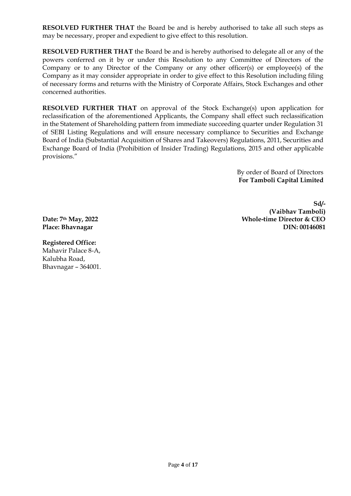**RESOLVED FURTHER THAT** the Board be and is hereby authorised to take all such steps as may be necessary, proper and expedient to give effect to this resolution.

**RESOLVED FURTHER THAT** the Board be and is hereby authorised to delegate all or any of the powers conferred on it by or under this Resolution to any Committee of Directors of the Company or to any Director of the Company or any other officer(s) or employee(s) of the Company as it may consider appropriate in order to give effect to this Resolution including filing of necessary forms and returns with the Ministry of Corporate Affairs, Stock Exchanges and other concerned authorities.

**RESOLVED FURTHER THAT** on approval of the Stock Exchange(s) upon application for reclassification of the aforementioned Applicants, the Company shall effect such reclassification in the Statement of Shareholding pattern from immediate succeeding quarter under Regulation 31 of SEBI Listing Regulations and will ensure necessary compliance to Securities and Exchange Board of India (Substantial Acquisition of Shares and Takeovers) Regulations, 2011, Securities and Exchange Board of India (Prohibition of Insider Trading) Regulations, 2015 and other applicable provisions."

> By order of Board of Directors **For Tamboli Capital Limited**

**Sd/- (Vaibhav Tamboli) Whole-time Director & CEO DIN: 00146081**

**Date: 7th May, 2022 Place: Bhavnagar**

**Registered Office:** Mahavir Palace 8-A, Kalubha Road, Bhavnagar – 364001.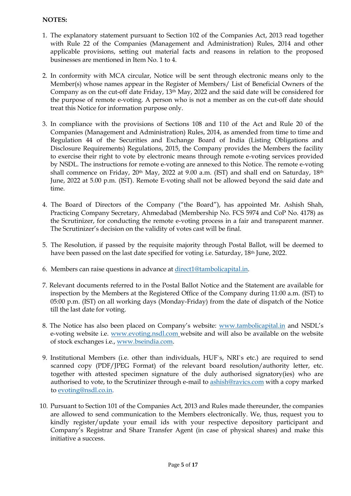### **NOTES:**

- 1. The explanatory statement pursuant to Section 102 of the Companies Act, 2013 read together with Rule 22 of the Companies (Management and Administration) Rules, 2014 and other applicable provisions, setting out material facts and reasons in relation to the proposed businesses are mentioned in Item No. 1 to 4.
- 2. In conformity with MCA circular, Notice will be sent through electronic means only to the Member(s) whose names appear in the Register of Members/ List of Beneficial Owners of the Company as on the cut-off date Friday, 13th May, 2022 and the said date will be considered for the purpose of remote e-voting. A person who is not a member as on the cut-off date should treat this Notice for information purpose only.
- 3. In compliance with the provisions of Sections 108 and 110 of the Act and Rule 20 of the Companies (Management and Administration) Rules, 2014, as amended from time to time and Regulation 44 of the Securities and Exchange Board of India (Listing Obligations and Disclosure Requirements) Regulations, 2015, the Company provides the Members the facility to exercise their right to vote by electronic means through remote e-voting services provided by NSDL. The instructions for remote e-voting are annexed to this Notice. The remote e-voting shall commence on Friday, 20<sup>th</sup> May, 2022 at 9.00 a.m. (IST) and shall end on Saturday, 18<sup>th</sup> June, 2022 at 5.00 p.m. (IST). Remote E-voting shall not be allowed beyond the said date and time.
- 4. The Board of Directors of the Company ("the Board"), has appointed Mr. Ashish Shah, Practicing Company Secretary, Ahmedabad (Membership No. FCS 5974 and CoP No. 4178) as the Scrutinizer, for conducting the remote e-voting process in a fair and transparent manner. The Scrutinizer's decision on the validity of votes cast will be final.
- 5. The Resolution, if passed by the requisite majority through Postal Ballot, will be deemed to have been passed on the last date specified for voting i.e. Saturday, 18th June, 2022.
- 6. Members can raise questions in advance a[t direct1@tambolicapital.in.](mailto:direct1@tambolicapital.in)
- 7. Relevant documents referred to in the Postal Ballot Notice and the Statement are available for inspection by the Members at the Registered Office of the Company during 11:00 a.m. (IST) to 05:00 p.m. (IST) on all working days (Monday-Friday) from the date of dispatch of the Notice till the last date for voting.
- 8. The Notice has also been placed on Company's website: [www.tambolicapital.in](http://www.tambolicapital.in/) and NSDL's e-voting website i.e. [www.evoting.nsdl.com](http://www.evoting.nsdl.com/) website and will also be available on the website of stock exchanges i.e., [www.bseindia.com.](http://www.bseindia.com/)
- 9. Institutional Members (i.e. other than individuals, HUF`s, NRI`s etc.) are required to send scanned copy (PDF/JPEG Format) of the relevant board resolution/authority letter, etc. together with attested specimen signature of the duly authorised signatory(ies) who are authorised to vote, to the Scrutinizer through e-mail to [ashish@ravics.com](mailto:ashish@ravics.com) with a copy marked to [evoting@nsdl.co.in.](mailto:evoting@nsdl.co.in)
- 10. Pursuant to Section 101 of the Companies Act, 2013 and Rules made thereunder, the companies are allowed to send communication to the Members electronically. We, thus, request you to kindly register/update your email ids with your respective depository participant and Company"s Registrar and Share Transfer Agent (in case of physical shares) and make this initiative a success.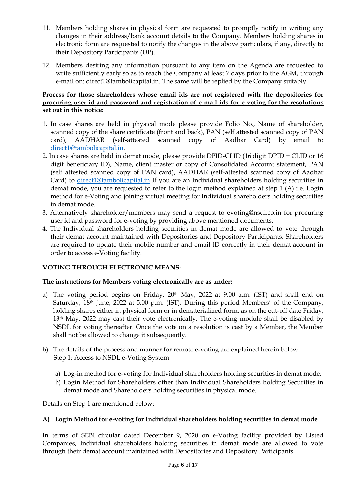- 11. Members holding shares in physical form are requested to promptly notify in writing any changes in their address/bank account details to the Company. Members holding shares in electronic form are requested to notify the changes in the above particulars, if any, directly to their Depository Participants (DP).
- 12. Members desiring any information pursuant to any item on the Agenda are requested to write sufficiently early so as to reach the Company at least 7 days prior to the AGM, through e-mail on: direct1@tambolicapital.in. The same will be replied by the Company suitably.

### **Process for those shareholders whose email ids are not registered with the depositories for procuring user id and password and registration of e mail ids for e-voting for the resolutions set out in this notice:**

- 1. In case shares are held in physical mode please provide Folio No., Name of shareholder, scanned copy of the share certificate (front and back), PAN (self attested scanned copy of PAN card), AADHAR (self-attested scanned copy of Aadhar Card) by email to [direct1@tambolicapital.in.](mailto:direct1@tambolicapital.in)
- 2. In case shares are held in demat mode, please provide DPID-CLID (16 digit DPID + CLID or 16 digit beneficiary ID), Name, client master or copy of Consolidated Account statement, PAN (self attested scanned copy of PAN card), AADHAR (self-attested scanned copy of Aadhar Card) to [direct1@tambolicapital.in](mailto:direct1@tambolicapital.in) If you are an Individual shareholders holding securities in demat mode, you are requested to refer to the login method explained at step 1 (A) i.e. Login method for e-Voting and joining virtual meeting for Individual shareholders holding securities in demat mode.
- 3. Alternatively shareholder/members may send a request to evoting@nsdl.co.in for procuring user id and password for e-voting by providing above mentioned documents.
- 4. The Individual shareholders holding securities in demat mode are allowed to vote through their demat account maintained with Depositories and Depository Participants. Shareholders are required to update their mobile number and email ID correctly in their demat account in order to access e-Voting facility.

# **VOTING THROUGH ELECTRONIC MEANS:**

# **The instructions for Members voting electronically are as under:**

- a) The voting period begins on Friday, 20<sup>th</sup> May, 2022 at 9.00 a.m. (IST) and shall end on Saturday, 18<sup>th</sup> June, 2022 at 5.00 p.m. (IST). During this period Members' of the Company, holding shares either in physical form or in dematerialized form, as on the cut-off date Friday, 13th May, 2022 may cast their vote electronically. The e-voting module shall be disabled by NSDL for voting thereafter. Once the vote on a resolution is cast by a Member, the Member shall not be allowed to change it subsequently.
- b) The details of the process and manner for remote e-voting are explained herein below: Step 1: Access to NSDL e-Voting System
	- a) Log-in method for e-voting for Individual shareholders holding securities in demat mode;
	- b) Login Method for Shareholders other than Individual Shareholders holding Securities in demat mode and Shareholders holding securities in physical mode.

Details on Step 1 are mentioned below:

# **A) Login Method for e-voting for Individual shareholders holding securities in demat mode**

In terms of SEBI circular dated December 9, 2020 on e-Voting facility provided by Listed Companies, Individual shareholders holding securities in demat mode are allowed to vote through their demat account maintained with Depositories and Depository Participants.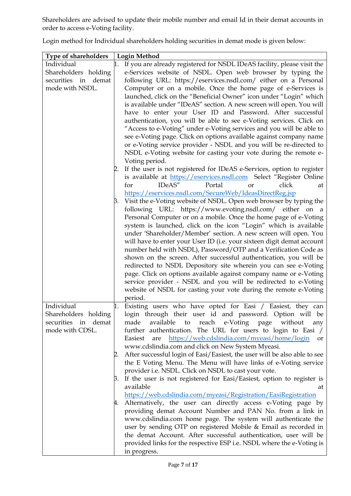Shareholders are advised to update their mobile number and email Id in their demat accounts in order to access e-Voting facility.

Login method for Individual shareholders holding securities in demat mode is given below:

| <b>Type of shareholders</b> | <b>Login Method</b>                                                                                                               |  |  |
|-----------------------------|-----------------------------------------------------------------------------------------------------------------------------------|--|--|
| Individual                  | 1. If you are already registered for NSDL IDeAS facility, please visit the                                                        |  |  |
| Shareholders holding        | e-Services website of NSDL. Open web browser by typing the                                                                        |  |  |
| securities in demat         | following URL: https://eservices.nsdl.com/ either on a Personal                                                                   |  |  |
| mode with NSDL.             | Computer or on a mobile. Once the home page of e-Services is                                                                      |  |  |
|                             | launched, click on the "Beneficial Owner" icon under "Login" which                                                                |  |  |
|                             | is available under "IDeAS" section. A new screen will open. You will                                                              |  |  |
|                             | have to enter your User ID and Password. After successful                                                                         |  |  |
|                             | authentication, you will be able to see e-Voting services. Click on                                                               |  |  |
|                             | "Access to e-Voting" under e-Voting services and you will be able to                                                              |  |  |
|                             | see e-Voting page. Click on options available against company name                                                                |  |  |
|                             | or e-Voting service provider - NSDL and you will be re-directed to                                                                |  |  |
|                             | NSDL e-Voting website for casting your vote during the remote e-                                                                  |  |  |
|                             | Voting period.                                                                                                                    |  |  |
|                             |                                                                                                                                   |  |  |
|                             | 2. If the user is not registered for IDeAS e-Services, option to register                                                         |  |  |
|                             | is available at https://eservices.nsdl.com Select "Register Online<br>IDeAS"<br>Portal<br>click<br>for<br><b>or</b><br>at         |  |  |
|                             | https://eservices.nsdl.com/SecureWeb/IdeasDirectReg.jsp                                                                           |  |  |
|                             | β. Visit the e-Voting website of NSDL. Open web browser by typing the                                                             |  |  |
|                             | following URL: https://www.evoting.nsdl.com/ either on a                                                                          |  |  |
|                             | Personal Computer or on a mobile. Once the home page of e-Voting                                                                  |  |  |
|                             | system is launched, click on the icon "Login" which is available                                                                  |  |  |
|                             | under 'Shareholder/Member' section. A new screen will open. You                                                                   |  |  |
|                             | will have to enter your User ID (i.e. your sixteen digit demat account                                                            |  |  |
|                             | number held with NSDL), Password/OTP and a Verification Code as                                                                   |  |  |
|                             | shown on the screen. After successful authentication, you will be                                                                 |  |  |
|                             | redirected to NSDL Depository site wherein you can see e-Voting                                                                   |  |  |
|                             | page. Click on options available against company name or e-Voting                                                                 |  |  |
|                             | service provider - NSDL and you will be redirected to e-Voting                                                                    |  |  |
|                             | website of NSDL for casting your vote during the remote e-Voting                                                                  |  |  |
|                             | period.                                                                                                                           |  |  |
| Individual                  | 1. Existing users who have opted for Easi / Easiest, they can                                                                     |  |  |
| Shareholders holding        | login through their user id and password. Option will be                                                                          |  |  |
| securities in demat         | available<br>reach e-Voting page without<br>made<br>to<br>any                                                                     |  |  |
| mode with CDSL.             | further authentication. The URL for users to login to Easi /                                                                      |  |  |
|                             | are https://web.cdslindia.com/myeasi/home/login<br>Easiest<br>or                                                                  |  |  |
|                             | www.cdslindia.com and click on New System Myeasi.                                                                                 |  |  |
|                             | After successful login of Easi/Easiest, the user will be also able to see<br>2.                                                   |  |  |
|                             | the E Voting Menu. The Menu will have links of e-Voting service                                                                   |  |  |
|                             |                                                                                                                                   |  |  |
|                             | provider i.e. NSDL. Click on NSDL to cast your vote.                                                                              |  |  |
|                             | If the user is not registered for Easi/Easiest, option to register is<br>3.                                                       |  |  |
|                             | available<br>at                                                                                                                   |  |  |
|                             | https://web.cdslindia.com/myeasi/Registration/EasiRegistration<br>4. Alternatively, the user can directly access e-Voting page by |  |  |
|                             | providing demat Account Number and PAN No. from a link in                                                                         |  |  |
|                             | www.cdslindia.com home page. The system will authenticate the                                                                     |  |  |
|                             |                                                                                                                                   |  |  |
|                             | user by sending OTP on registered Mobile & Email as recorded in                                                                   |  |  |
|                             | the demat Account. After successful authentication, user will be                                                                  |  |  |
|                             | provided links for the respective ESP i.e. NSDL where the e-Voting is                                                             |  |  |
|                             | in progress.                                                                                                                      |  |  |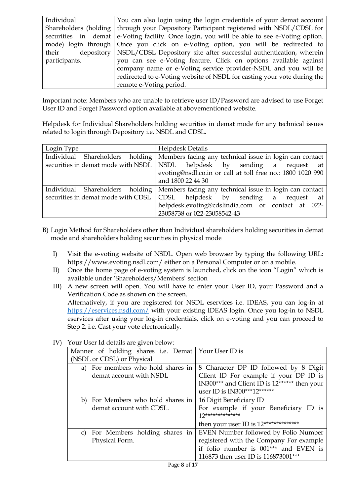| Individual    | You can also login using the login credentials of your demat account                        |
|---------------|---------------------------------------------------------------------------------------------|
|               | Shareholders (holding   through your Depository Participant registered with NSDL/CDSL for   |
|               | securities in demat e-Voting facility. Once login, you will be able to see e-Voting option. |
|               | mode) login through Once you click on e-Voting option, you will be redirected to            |
| their         | depository   NSDL/CDSL Depository site after successful authentication, wherein             |
| participants. | you can see e-Voting feature. Click on options available against                            |
|               | company name or e-Voting service provider-NSDL and you will be                              |
|               | redirected to e-Voting website of NSDL for casting your vote during the                     |
|               | remote e-Voting period.                                                                     |

Important note: Members who are unable to retrieve user ID/Password are advised to use Forget User ID and Forget Password option available at abovementioned website.

Helpdesk for Individual Shareholders holding securities in demat mode for any technical issues related to login through Depository i.e. NSDL and CDSL.

| Login Type                         | <b>Helpdesk Details</b>                                                        |
|------------------------------------|--------------------------------------------------------------------------------|
| Individual                         | Shareholders holding   Members facing any technical issue in login can contact |
|                                    | securities in demat mode with NSDL NSDL helpdesk by sending a request at       |
|                                    | evoting@nsdl.co.in or call at toll free no.: 1800 1020 990                     |
|                                    | and 1800 22 44 30                                                              |
| Individual                         | Shareholders holding   Members facing any technical issue in login can contact |
| securities in demat mode with CDSL | CDSL helpdesk by sending a request at                                          |
|                                    | helpdesk.evoting@cdslindia.com or contact at 022-                              |
|                                    | 23058738 or 022-23058542-43                                                    |

- B) Login Method for Shareholders other than Individual shareholders holding securities in demat mode and shareholders holding securities in physical mode
	- I) Visit the e-voting website of NSDL. Open web browser by typing the following URL: https://www.evoting.nsdl.com/ either on a Personal Computer or on a mobile.
	- II) Once the home page of e-voting system is launched, click on the icon "Login" which is available under "Shareholders/Members" section
	- III) A new screen will open. You will have to enter your User ID, your Password and a Verification Code as shown on the screen. Alternatively, if you are registered for NSDL eservices i.e. IDEAS, you can log-in at <https://eservices.nsdl.com/> with your existing IDEAS login. Once you log-in to NSDL eservices after using your log-in credentials, click on e-voting and you can proceed to Step 2, i.e. Cast your vote electronically.

| Manner of holding shares i.e. Demat   Your User ID is |                                              |
|-------------------------------------------------------|----------------------------------------------|
| (NSDL or CDSL) or Physical                            |                                              |
| a) For members who hold shares in                     | 8 Character DP ID followed by 8 Digit        |
| demat account with NSDL                               | Client ID For example if your DP ID is       |
|                                                       | IN300*** and Client ID is 12****** then your |
|                                                       | user ID is IN300***12******                  |
| b) For Members who hold shares in                     | 16 Digit Beneficiary ID                      |
| demat account with CDSL.                              | For example if your Beneficiary ID is        |
|                                                       | $12*******************$                      |
|                                                       | then your user ID is 12**************        |
| c) For Members holding shares in                      | EVEN Number followed by Folio Number         |
| Physical Form.                                        | registered with the Company For example      |
|                                                       | if folio number is 001*** and EVEN is        |
|                                                       | 116873 then user ID is 116873001***          |

IV) Your User Id details are given below: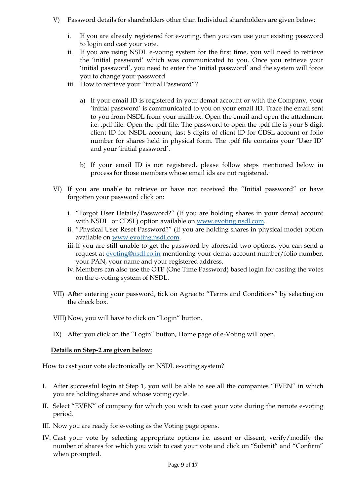- V) Password details for shareholders other than Individual shareholders are given below:
	- i. If you are already registered for e-voting, then you can use your existing password to login and cast your vote.
	- ii. If you are using NSDL e-voting system for the first time, you will need to retrieve the "initial password" which was communicated to you. Once you retrieve your 'initial password', you need to enter the 'initial password' and the system will force you to change your password.
	- iii. How to retrieve your "initial Password"?
		- a) If your email ID is registered in your demat account or with the Company, your "initial password" is communicated to you on your email ID. Trace the email sent to you from NSDL from your mailbox. Open the email and open the attachment i.e. .pdf file. Open the .pdf file. The password to open the .pdf file is your 8 digit client ID for NSDL account, last 8 digits of client ID for CDSL account or folio number for shares held in physical form. The .pdf file contains your "User ID" and your "initial password".
		- b) If your email ID is not registered, please follow steps mentioned below in process for those members whose email ids are not registered.
- VI) If you are unable to retrieve or have not received the "Initial password" or have forgotten your password click on:
	- i. "Forgot User Details/Password?" (If you are holding shares in your demat account with NSDL or CDSL) option available on [www.evoting.nsdl.com.](http://www.evoting.nsdl.com/)
	- ii. "Physical User Reset Password?" (If you are holding shares in physical mode) option available on [www.evoting.nsdl.com.](http://www.evoting.nsdl.com/)
	- iii.If you are still unable to get the password by aforesaid two options, you can send a request at **evoting@nsdl.co.in** mentioning your demat account number/folio number, your PAN, your name and your registered address.
	- iv. Members can also use the OTP (One Time Password) based login for casting the votes on the e-voting system of NSDL.
- VII) After entering your password, tick on Agree to "Terms and Conditions" by selecting on the check box.
- VIII) Now, you will have to click on "Login" button.
- IX) After you click on the "Login" button, Home page of e-Voting will open.

#### **Details on Step-2 are given below:**

How to cast your vote electronically on NSDL e-voting system?

- I. After successful login at Step 1, you will be able to see all the companies "EVEN" in which you are holding shares and whose voting cycle.
- II. Select "EVEN" of company for which you wish to cast your vote during the remote e-voting period.
- III. Now you are ready for e-voting as the Voting page opens.
- IV. Cast your vote by selecting appropriate options i.e. assent or dissent, verify/modify the number of shares for which you wish to cast your vote and click on "Submit" and "Confirm" when prompted.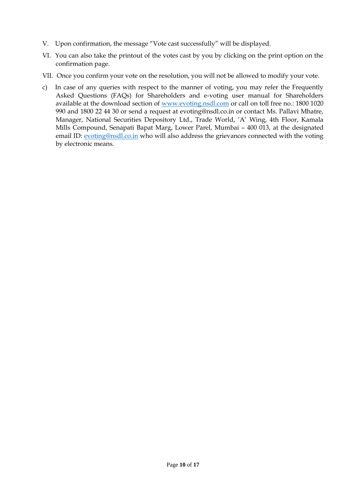- V. Upon confirmation, the message "Vote cast successfully" will be displayed.
- VI. You can also take the printout of the votes cast by you by clicking on the print option on the confirmation page.
- VII. Once you confirm your vote on the resolution, you will not be allowed to modify your vote.
- c) In case of any queries with respect to the manner of voting, you may refer the Frequently Asked Questions (FAQs) for Shareholders and e-voting user manual for Shareholders available at the download section of [www.evoting.nsdl.com](http://www.evoting.nsdl.com/) or call on toll free no.: 1800 1020 990 and 1800 22 44 30 or send a request at evoting@nsdl.co.in or contact Ms. Pallavi Mhatre, Manager, National Securities Depository Ltd., Trade World, "A" Wing, 4th Floor, Kamala Mills Compound, Senapati Bapat Marg, Lower Parel, Mumbai – 400 013, at the designated email ID: [evoting@nsdl.co.in](mailto:evoting@nsdl.co.in) who will also address the grievances connected with the voting by electronic means.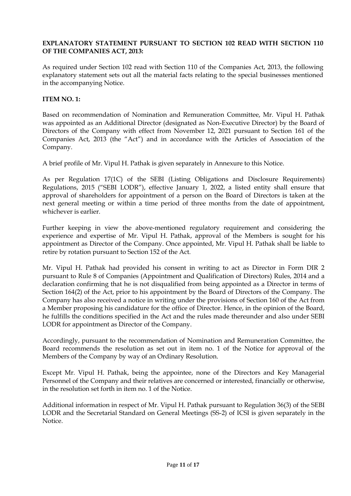### **EXPLANATORY STATEMENT PURSUANT TO SECTION 102 READ WITH SECTION 110 OF THE COMPANIES ACT, 2013:**

As required under Section 102 read with Section 110 of the Companies Act, 2013, the following explanatory statement sets out all the material facts relating to the special businesses mentioned in the accompanying Notice.

#### **ITEM NO. 1:**

Based on recommendation of Nomination and Remuneration Committee, Mr. Vipul H. Pathak was appointed as an Additional Director (designated as Non-Executive Director) by the Board of Directors of the Company with effect from November 12, 2021 pursuant to Section 161 of the Companies Act, 2013 (the "Act") and in accordance with the Articles of Association of the Company.

A brief profile of Mr. Vipul H. Pathak is given separately in Annexure to this Notice.

As per Regulation 17(1C) of the SEBI (Listing Obligations and Disclosure Requirements) Regulations, 2015 ("SEBI LODR"), effective January 1, 2022, a listed entity shall ensure that approval of shareholders for appointment of a person on the Board of Directors is taken at the next general meeting or within a time period of three months from the date of appointment, whichever is earlier.

Further keeping in view the above-mentioned regulatory requirement and considering the experience and expertise of Mr. Vipul H. Pathak, approval of the Members is sought for his appointment as Director of the Company. Once appointed, Mr. Vipul H. Pathak shall be liable to retire by rotation pursuant to Section 152 of the Act.

Mr. Vipul H. Pathak had provided his consent in writing to act as Director in Form DIR 2 pursuant to Rule 8 of Companies (Appointment and Qualification of Directors) Rules, 2014 and a declaration confirming that he is not disqualified from being appointed as a Director in terms of Section 164(2) of the Act, prior to his appointment by the Board of Directors of the Company. The Company has also received a notice in writing under the provisions of Section 160 of the Act from a Member proposing his candidature for the office of Director. Hence, in the opinion of the Board, he fulfills the conditions specified in the Act and the rules made thereunder and also under SEBI LODR for appointment as Director of the Company.

Accordingly, pursuant to the recommendation of Nomination and Remuneration Committee, the Board recommends the resolution as set out in item no. 1 of the Notice for approval of the Members of the Company by way of an Ordinary Resolution.

Except Mr. Vipul H. Pathak, being the appointee, none of the Directors and Key Managerial Personnel of the Company and their relatives are concerned or interested, financially or otherwise, in the resolution set forth in item no. 1 of the Notice.

Additional information in respect of Mr. Vipul H. Pathak pursuant to Regulation 36(3) of the SEBI LODR and the Secretarial Standard on General Meetings (SS-2) of ICSI is given separately in the Notice.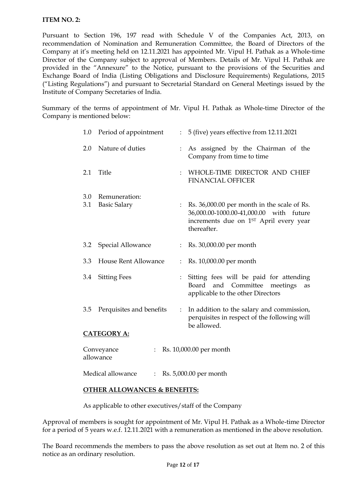#### **ITEM NO. 2:**

Pursuant to Section 196, 197 read with Schedule V of the Companies Act, 2013, on recommendation of Nomination and Remuneration Committee, the Board of Directors of the Company at it's meeting held on 12.11.2021 has appointed Mr. Vipul H. Pathak as a Whole-time Director of the Company subject to approval of Members. Details of Mr. Vipul H. Pathak are provided in the "Annexure" to the Notice, pursuant to the provisions of the Securities and Exchange Board of India (Listing Obligations and Disclosure Requirements) Regulations, 2015 ("Listing Regulations") and pursuant to Secretarial Standard on General Meetings issued by the Institute of Company Secretaries of India.

Summary of the terms of appointment of Mr. Vipul H. Pathak as Whole-time Director of the Company is mentioned below:

| $1.0\,$                                                       | Period of appointment                | $\mathbb{R}^{\mathbb{Z}}$ | 5 (five) years effective from 12.11.2021                                                                                                        |
|---------------------------------------------------------------|--------------------------------------|---------------------------|-------------------------------------------------------------------------------------------------------------------------------------------------|
| 2.0                                                           | Nature of duties                     |                           | As assigned by the Chairman of the<br>Company from time to time                                                                                 |
| 2.1                                                           | Title                                | $\ddot{\cdot}$            | WHOLE-TIME DIRECTOR AND CHIEF<br><b>FINANCIAL OFFICER</b>                                                                                       |
| 3.0<br>3.1                                                    | Remuneration:<br><b>Basic Salary</b> |                           | Rs. 36,000.00 per month in the scale of Rs.<br>36,000.00-1000.00-41,000.00 with future<br>increments due on 1ST April every year<br>thereafter. |
| 3.2                                                           | Special Allowance                    | $\ddot{\phantom{0}}$      | Rs. 30,000.00 per month                                                                                                                         |
| 3.3                                                           | House Rent Allowance                 |                           | Rs. 10,000.00 per month                                                                                                                         |
| 3.4                                                           | <b>Sitting Fees</b>                  |                           | Sitting fees will be paid for attending<br>Committee<br>Board<br>and<br>meetings<br>as<br>applicable to the other Directors                     |
| 3.5                                                           | Perquisites and benefits             | $\ddot{\cdot}$            | In addition to the salary and commission,<br>perquisites in respect of the following will<br>be allowed.                                        |
| <b>CATEGORY A:</b>                                            |                                      |                           |                                                                                                                                                 |
| Rs. 10,000.00 per month<br>Conveyance<br>allowance            |                                      |                           |                                                                                                                                                 |
| Medical allowance<br>Rs. 5,000.00 per month<br>$\ddot{\cdot}$ |                                      |                           |                                                                                                                                                 |

#### **OTHER ALLOWANCES & BENEFITS:**

As applicable to other executives/staff of the Company

Approval of members is sought for appointment of Mr. Vipul H. Pathak as a Whole-time Director for a period of 5 years w.e.f. 12.11.2021 with a remuneration as mentioned in the above resolution.

The Board recommends the members to pass the above resolution as set out at Item no. 2 of this notice as an ordinary resolution.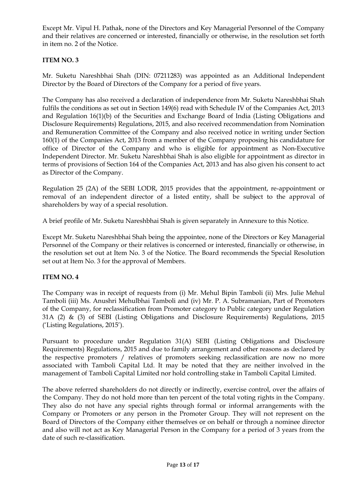Except Mr. Vipul H. Pathak, none of the Directors and Key Managerial Personnel of the Company and their relatives are concerned or interested, financially or otherwise, in the resolution set forth in item no. 2 of the Notice.

### **ITEM NO. 3**

Mr. Suketu Nareshbhai Shah (DIN: 07211283) was appointed as an Additional Independent Director by the Board of Directors of the Company for a period of five years.

The Company has also received a declaration of independence from Mr. Suketu Nareshbhai Shah fulfils the conditions as set out in Section 149(6) read with Schedule IV of the Companies Act, 2013 and Regulation 16(1)(b) of the Securities and Exchange Board of India (Listing Obligations and Disclosure Requirements) Regulations, 2015, and also received recommendation from Nomination and Remuneration Committee of the Company and also received notice in writing under Section 160(1) of the Companies Act, 2013 from a member of the Company proposing his candidature for office of Director of the Company and who is eligible for appointment as Non-Executive Independent Director. Mr. Suketu Nareshbhai Shah is also eligible for appointment as director in terms of provisions of Section 164 of the Companies Act, 2013 and has also given his consent to act as Director of the Company.

Regulation 25 (2A) of the SEBI LODR, 2015 provides that the appointment, re-appointment or removal of an independent director of a listed entity, shall be subject to the approval of shareholders by way of a special resolution.

A brief profile of Mr. Suketu Nareshbhai Shah is given separately in Annexure to this Notice.

Except Mr. Suketu Nareshbhai Shah being the appointee, none of the Directors or Key Managerial Personnel of the Company or their relatives is concerned or interested, financially or otherwise, in the resolution set out at Item No. 3 of the Notice. The Board recommends the Special Resolution set out at Item No. 3 for the approval of Members.

#### **ITEM NO. 4**

The Company was in receipt of requests from (i) Mr. Mehul Bipin Tamboli (ii) Mrs. Julie Mehul Tamboli (iii) Ms. Anushri Mehulbhai Tamboli and (iv) Mr. P. A. Subramanian, Part of Promoters of the Company, for reclassification from Promoter category to Public category under Regulation 31A (2) & (3) of SEBI (Listing Obligations and Disclosure Requirements) Regulations, 2015 ("Listing Regulations, 2015").

Pursuant to procedure under Regulation 31(A) SEBI (Listing Obligations and Disclosure Requirements) Regulations, 2015 and due to family arrangement and other reasons as declared by the respective promoters / relatives of promoters seeking reclassification are now no more associated with Tamboli Capital Ltd. It may be noted that they are neither involved in the management of Tamboli Capital Limited nor hold controlling stake in Tamboli Capital Limited.

The above referred shareholders do not directly or indirectly, exercise control, over the affairs of the Company. They do not hold more than ten percent of the total voting rights in the Company. They also do not have any special rights through formal or informal arrangements with the Company or Promoters or any person in the Promoter Group. They will not represent on the Board of Directors of the Company either themselves or on behalf or through a nominee director and also will not act as Key Managerial Person in the Company for a period of 3 years from the date of such re-classification.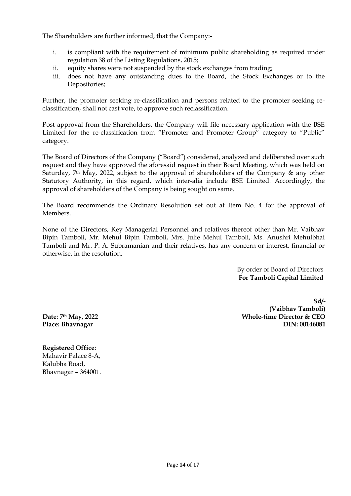The Shareholders are further informed, that the Company:-

- i. is compliant with the requirement of minimum public shareholding as required under regulation 38 of the Listing Regulations, 2015;
- ii. equity shares were not suspended by the stock exchanges from trading;
- iii. does not have any outstanding dues to the Board, the Stock Exchanges or to the Depositories;

Further, the promoter seeking re-classification and persons related to the promoter seeking reclassification, shall not cast vote, to approve such reclassification.

Post approval from the Shareholders, the Company will file necessary application with the BSE Limited for the re-classification from "Promoter and Promoter Group" category to "Public" category.

The Board of Directors of the Company ("Board") considered, analyzed and deliberated over such request and they have approved the aforesaid request in their Board Meeting, which was held on Saturday,  $7<sup>th</sup>$  May, 2022, subject to the approval of shareholders of the Company & any other Statutory Authority, in this regard, which inter-alia include BSE Limited. Accordingly, the approval of shareholders of the Company is being sought on same.

The Board recommends the Ordinary Resolution set out at Item No. 4 for the approval of Members.

None of the Directors, Key Managerial Personnel and relatives thereof other than Mr. Vaibhav Bipin Tamboli, Mr. Mehul Bipin Tamboli, Mrs. Julie Mehul Tamboli, Ms. Anushri Mehulbhai Tamboli and Mr. P. A. Subramanian and their relatives, has any concern or interest, financial or otherwise, in the resolution.

> By order of Board of Directors **For Tamboli Capital Limited**

**Sd/- (Vaibhav Tamboli) Whole-time Director & CEO DIN: 00146081**

**Date: 7th May, 2022 Place: Bhavnagar**

**Registered Office:** Mahavir Palace 8-A, Kalubha Road, Bhavnagar – 364001.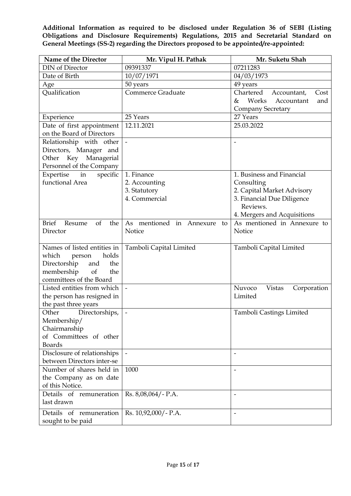**Additional Information as required to be disclosed under Regulation 36 of SEBI (Listing Obligations and Disclosure Requirements) Regulations, 2015 and Secretarial Standard on General Meetings (SS-2) regarding the Directors proposed to be appointed/re-appointed:**

| Name of the Director                                      | Mr. Vipul H. Pathak            | Mr. Suketu Shah                        |
|-----------------------------------------------------------|--------------------------------|----------------------------------------|
| <b>DIN</b> of Director                                    | 09391337                       | 07211283                               |
| Date of Birth                                             | 10/07/1971                     | 04/03/1973                             |
| Age                                                       | 50 years                       | 49 years                               |
| Qualification                                             | <b>Commerce Graduate</b>       | Chartered<br>Accountant,<br>Cost       |
|                                                           |                                | Works<br>Accountant<br>&<br>and        |
|                                                           |                                | <b>Company Secretary</b>               |
| Experience                                                | 25 Years                       | 27 Years                               |
| Date of first appointment                                 | 12.11.2021                     | 25.03.2022                             |
| on the Board of Directors                                 |                                |                                        |
| Relationship with other                                   | $\frac{1}{2}$                  |                                        |
| Directors, Manager and                                    |                                |                                        |
| Other Key Managerial                                      |                                |                                        |
| Personnel of the Company                                  |                                |                                        |
| Expertise<br>in<br>specific                               | 1. Finance                     | 1. Business and Financial              |
| functional Area                                           | 2. Accounting                  | Consulting                             |
|                                                           | 3. Statutory                   | 2. Capital Market Advisory             |
|                                                           | 4. Commercial                  | 3. Financial Due Diligence             |
|                                                           |                                | Reviews.                               |
|                                                           |                                | 4. Mergers and Acquisitions            |
| <b>Brief</b><br>of<br>the<br>Resume                       | As mentioned in Annexure<br>to | As mentioned in Annexure to            |
| Director                                                  | Notice                         | Notice                                 |
|                                                           |                                |                                        |
| Names of listed entities in                               | Tamboli Capital Limited        | Tamboli Capital Limited                |
| which<br>holds<br>person                                  |                                |                                        |
| Directorship<br>and<br>the                                |                                |                                        |
| membership<br>of<br>the                                   |                                |                                        |
| committees of the Board                                   |                                |                                        |
| Listed entities from which                                | $\overline{\phantom{0}}$       | Nuvoco<br><b>Vistas</b><br>Corporation |
| the person has resigned in                                |                                | Limited                                |
| the past three years                                      |                                |                                        |
| Other<br>Directorships,                                   | $\blacksquare$                 | Tamboli Castings Limited               |
| Membership/                                               |                                |                                        |
| Chairmanship<br>of Committees of other                    |                                |                                        |
| <b>Boards</b>                                             |                                |                                        |
|                                                           |                                |                                        |
| Disclosure of relationships<br>between Directors inter-se |                                |                                        |
| Number of shares held in                                  | 1000                           |                                        |
| the Company as on date                                    |                                | $\overline{\phantom{a}}$               |
| of this Notice.                                           |                                |                                        |
| Details of remuneration                                   | Rs. 8,08,064/- P.A.            | $\overline{\phantom{a}}$               |
| last drawn                                                |                                |                                        |
|                                                           |                                |                                        |
| Details of remuneration                                   | Rs. 10,92,000/- P.A.           | $\overline{\phantom{a}}$               |
| sought to be paid                                         |                                |                                        |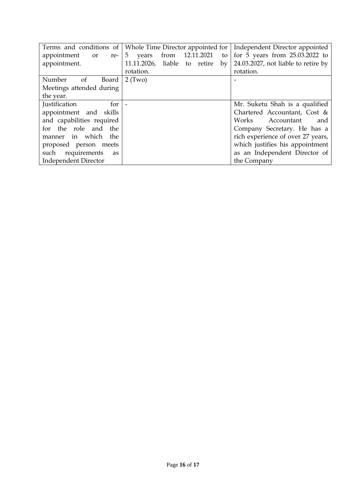|                                       | Terms and conditions of   Whole Time Director appointed for | Independent Director appointed      |
|---------------------------------------|-------------------------------------------------------------|-------------------------------------|
| appointment<br>or                     | from 12.11.2021<br>$re-$ 5 years<br>to                      | for $5$ years from $25.03.2022$ to  |
| appointment.                          | 11.11.2026, liable to retire<br>$\rm{bv}$                   | 24.03.2027, not liable to retire by |
|                                       | rotation.                                                   | rotation.                           |
| Number<br><sub>of</sub><br>Board      | $2$ (Two)                                                   |                                     |
| Meetings attended during              |                                                             |                                     |
| the year.                             |                                                             |                                     |
| <i>Iustification</i><br>for $\vert$ - |                                                             | Mr. Suketu Shah is a qualified      |
| appointment and skills                |                                                             | Chartered Accountant, Cost &        |
| and capabilities required             |                                                             | Works<br>Accountant<br>and          |
| for the role and the                  |                                                             | Company Secretary. He has a         |
| manner in which the                   |                                                             | rich experience of over 27 years,   |
| proposed person meets                 |                                                             | which justifies his appointment     |
| such requirements<br>as               |                                                             | as an Independent Director of       |
| <b>Independent Director</b>           |                                                             | the Company                         |